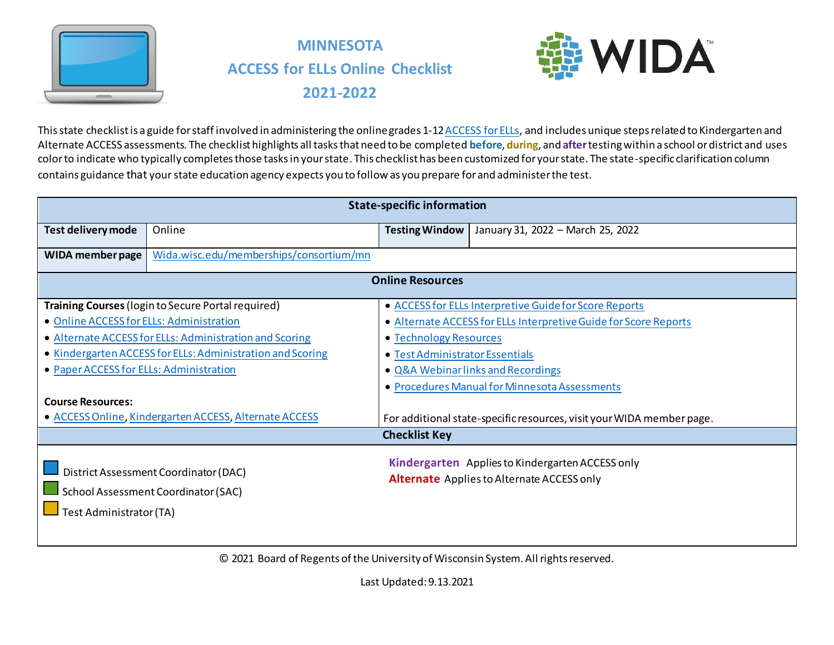

# **MINNESOTA ACCESS for ELLs Online Checklist 2021-2022**



This state checklist is a guide for staff involved in administering the online grades 1-1[2 ACCESS for ELLs,](https://wida.wisc.edu/assess/access) and includes unique steps related to Kindergarten and Alternate ACCESS assessments. The checklist highlights all tasks that need to be completed **before**, **during**, and **after**testing within a school or district and uses color to indicate who typically completes those tasks in your state. This checklist has been customized for your state. The state-specific clarification column contains guidance that your state education agency expects you to follow as you prepare for and administer the test.

|                                          | <b>State-specific information</b>                          |                                    |                                                                       |  |  |
|------------------------------------------|------------------------------------------------------------|------------------------------------|-----------------------------------------------------------------------|--|--|
| Test delivery mode                       | Online                                                     | <b>Testing Window</b>              | January 31, 2022 - March 25, 2022                                     |  |  |
| WIDA member page                         | Wida.wisc.edu/memberships/consortium/mn                    |                                    |                                                                       |  |  |
|                                          |                                                            | <b>Online Resources</b>            |                                                                       |  |  |
|                                          | Training Courses (login to Secure Portal required)         |                                    | • ACCESS for ELLs Interpretive Guide for Score Reports                |  |  |
| • Online ACCESS for ELLs: Administration |                                                            |                                    | • Alternate ACCESS for ELLs Interpretive Guide for Score Reports      |  |  |
|                                          | • Alternate ACCESS for ELLs: Administration and Scoring    | • Technology Resources             |                                                                       |  |  |
|                                          | • Kindergarten ACCESS for ELLs: Administration and Scoring | • Test Administrator Essentials    |                                                                       |  |  |
| • Paper ACCESS for ELLs: Administration  |                                                            | • Q&A Webinar links and Recordings |                                                                       |  |  |
|                                          |                                                            |                                    | • Procedures Manual for Minnesota Assessments                         |  |  |
| <b>Course Resources:</b>                 |                                                            |                                    |                                                                       |  |  |
|                                          | • ACCESS Online, Kindergarten ACCESS, Alternate ACCESS     |                                    | For additional state-specific resources, visit your WIDA member page. |  |  |
|                                          |                                                            | <b>Checklist Key</b>               |                                                                       |  |  |
|                                          |                                                            |                                    | Kindergarten Applies to Kindergarten ACCESS only                      |  |  |
|                                          | District Assessment Coordinator (DAC)                      |                                    | <b>Alternate</b> Applies to Alternate ACCESS only                     |  |  |
|                                          | School Assessment Coordinator (SAC)                        |                                    |                                                                       |  |  |
| Test Administrator (TA)                  |                                                            |                                    |                                                                       |  |  |
|                                          |                                                            |                                    |                                                                       |  |  |
|                                          |                                                            |                                    |                                                                       |  |  |

© 2021 Board of Regents of the University of Wisconsin System. All rights reserved.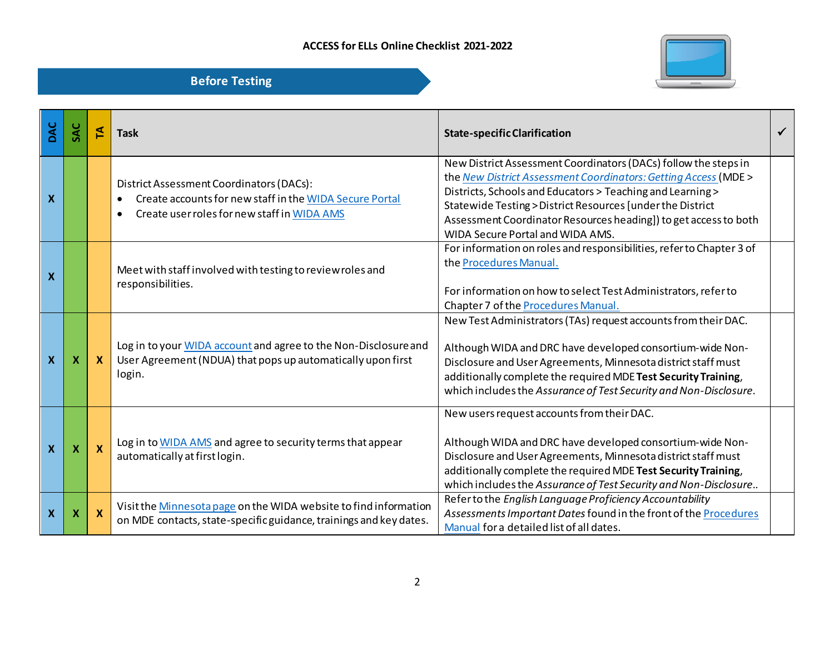



| DAC                       |   | 도        | <b>Task</b>                                                                                                                                                     | <b>State-specific Clarification</b>                                                                                                                                                                                                                                                                                                                                    | $\checkmark$ |
|---------------------------|---|----------|-----------------------------------------------------------------------------------------------------------------------------------------------------------------|------------------------------------------------------------------------------------------------------------------------------------------------------------------------------------------------------------------------------------------------------------------------------------------------------------------------------------------------------------------------|--------------|
| X                         |   |          | District Assessment Coordinators (DACs):<br>Create accounts for new staff in the WIDA Secure Portal<br>Create user roles for new staff in WIDA AMS<br>$\bullet$ | New District Assessment Coordinators (DACs) follow the steps in<br>the New District Assessment Coordinators: Getting Access (MDE ><br>Districts, Schools and Educators > Teaching and Learning ><br>Statewide Testing > District Resources [under the District<br>Assessment Coordinator Resources heading]) to get access to both<br>WIDA Secure Portal and WIDA AMS. |              |
| X                         |   |          | Meet with staff involved with testing to review roles and<br>responsibilities.                                                                                  | For information on roles and responsibilities, refer to Chapter 3 of<br>the Procedures Manual.<br>For information on how to select Test Administrators, refer to<br>Chapter 7 of the Procedures Manual.                                                                                                                                                                |              |
| X                         | х |          | Log in to your WIDA account and agree to the Non-Disclosure and<br>User Agreement (NDUA) that pops up automatically upon first<br>login.                        | New Test Administrators (TAs) request accounts from their DAC.<br>Although WIDA and DRC have developed consortium-wide Non-<br>Disclosure and User Agreements, Minnesota district staff must<br>additionally complete the required MDE Test Security Training,<br>which includes the Assurance of Test Security and Non-Disclosure.                                    |              |
| X                         | х | <b>X</b> | Log in to WIDA AMS and agree to security terms that appear<br>automatically at first login.                                                                     | New users request accounts from their DAC.<br>Although WIDA and DRC have developed consortium-wide Non-<br>Disclosure and User Agreements, Minnesota district staff must<br>additionally complete the required MDE Test Security Training,<br>which includes the Assurance of Test Security and Non-Disclosure                                                         |              |
| $\boldsymbol{\mathsf{x}}$ | х | X        | Visit the Minnesota page on the WIDA website to find information<br>on MDE contacts, state-specific guidance, trainings and key dates.                          | Refer to the English Language Proficiency Accountability<br>Assessments Important Dates found in the front of the Procedures<br>Manual for a detailed list of all dates.                                                                                                                                                                                               |              |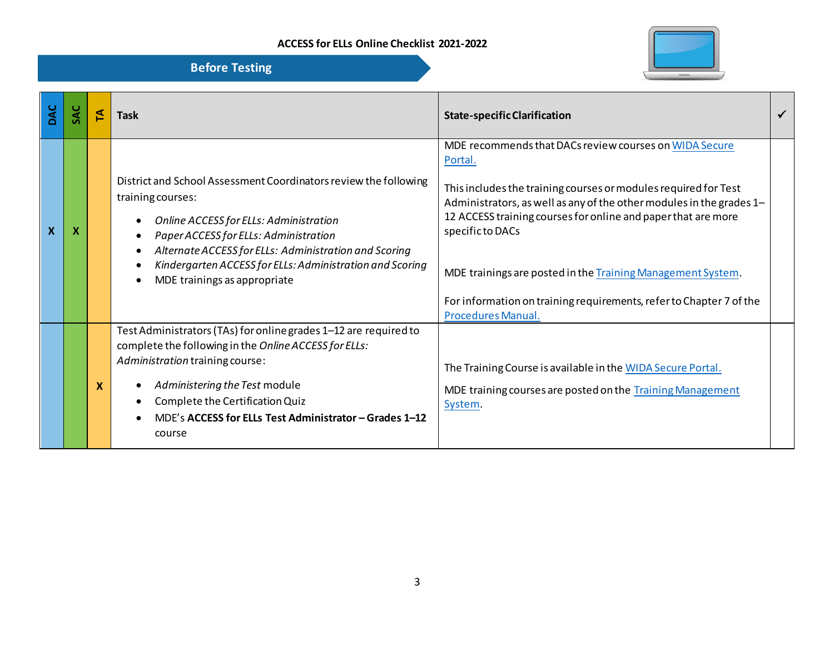

| DAC | ₹        | <b>Task</b>                                                                                                                                                                                                                                                                                                                   | <b>State-specific Clarification</b>                                                                                                                                                                                                                                                                                                                                                                                                                                  |  |
|-----|----------|-------------------------------------------------------------------------------------------------------------------------------------------------------------------------------------------------------------------------------------------------------------------------------------------------------------------------------|----------------------------------------------------------------------------------------------------------------------------------------------------------------------------------------------------------------------------------------------------------------------------------------------------------------------------------------------------------------------------------------------------------------------------------------------------------------------|--|
| X   |          | District and School Assessment Coordinators review the following<br>training courses:<br>Online ACCESS for ELLs: Administration<br>Paper ACCESS for ELLs: Administration<br>Alternate ACCESS for ELLs: Administration and Scoring<br>Kindergarten ACCESS for ELLs: Administration and Scoring<br>MDE trainings as appropriate | MDE recommends that DACs review courses on WIDA Secure<br>Portal.<br>This includes the training courses or modules required for Test<br>Administrators, as well as any of the other modules in the grades 1-<br>12 ACCESS training courses for online and paper that are more<br>specific to DACs<br>MDE trainings are posted in the Training Management System.<br>For information on training requirements, refer to Chapter 7 of the<br><b>Procedures Manual.</b> |  |
|     | <b>X</b> | Test Administrators (TAs) for online grades 1-12 are required to<br>complete the following in the Online ACCESS for ELLs:<br>Administration training course:<br>Administering the Test module<br>Complete the Certification Quiz<br>MDE's ACCESS for ELLs Test Administrator - Grades 1-12<br>course                          | The Training Course is available in the WIDA Secure Portal.<br>MDE training courses are posted on the Training Management<br>System.                                                                                                                                                                                                                                                                                                                                 |  |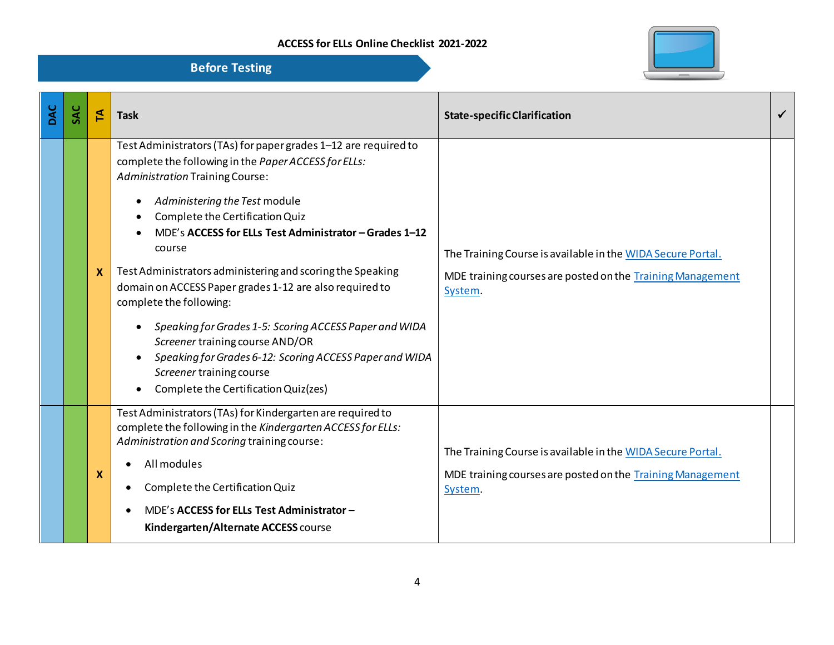

| DAC | SAC | $\mathbf{z}$ | <b>Task</b>                                                                                                                                                                                                                                                                                                                                                                                                                                                                                                                                                                                                                                                                               | <b>State-specific Clarification</b>                                                                                                  |  |
|-----|-----|--------------|-------------------------------------------------------------------------------------------------------------------------------------------------------------------------------------------------------------------------------------------------------------------------------------------------------------------------------------------------------------------------------------------------------------------------------------------------------------------------------------------------------------------------------------------------------------------------------------------------------------------------------------------------------------------------------------------|--------------------------------------------------------------------------------------------------------------------------------------|--|
|     |     | $\mathbf{x}$ | Test Administrators (TAs) for paper grades 1-12 are required to<br>complete the following in the Paper ACCESS for ELLs:<br><b>Administration Training Course:</b><br>Administering the Test module<br>Complete the Certification Quiz<br>MDE's ACCESS for ELLs Test Administrator - Grades 1-12<br>course<br>Test Administrators administering and scoring the Speaking<br>domain on ACCESS Paper grades 1-12 are also required to<br>complete the following:<br>Speaking for Grades 1-5: Scoring ACCESS Paper and WIDA<br>Screener training course AND/OR<br>Speaking for Grades 6-12: Scoring ACCESS Paper and WIDA<br>Screener training course<br>Complete the Certification Quiz(zes) | The Training Course is available in the WIDA Secure Portal.<br>MDE training courses are posted on the Training Management<br>System. |  |
|     |     | X            | Test Administrators (TAs) for Kindergarten are required to<br>complete the following in the Kindergarten ACCESS for ELLs:<br>Administration and Scoring training course:<br>All modules<br>Complete the Certification Quiz<br>MDE's ACCESS for ELLs Test Administrator -<br>Kindergarten/Alternate ACCESS course                                                                                                                                                                                                                                                                                                                                                                          | The Training Course is available in the WIDA Secure Portal.<br>MDE training courses are posted on the Training Management<br>System. |  |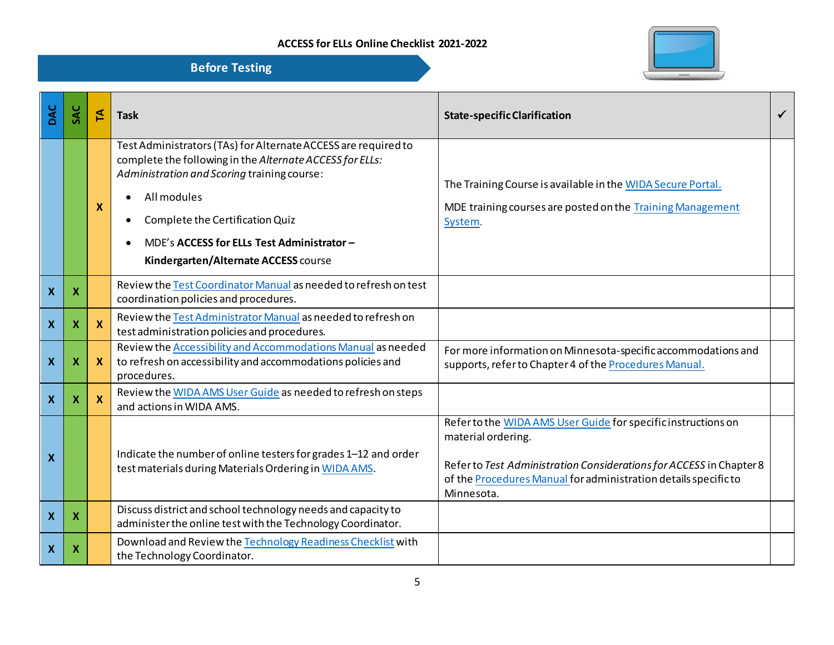

| DAC                       | SAC | 집  | <b>Task</b>                                                                                                                                                                                                                                                                                                       | <b>State-specific Clarification</b>                                                                                                                                                                                                         |  |
|---------------------------|-----|----|-------------------------------------------------------------------------------------------------------------------------------------------------------------------------------------------------------------------------------------------------------------------------------------------------------------------|---------------------------------------------------------------------------------------------------------------------------------------------------------------------------------------------------------------------------------------------|--|
|                           |     | X  | Test Administrators (TAs) for Alternate ACCESS are required to<br>complete the following in the Alternate ACCESS for ELLs:<br>Administration and Scoring training course:<br>All modules<br>Complete the Certification Quiz<br>MDE's ACCESS for ELLs Test Administrator -<br>Kindergarten/Alternate ACCESS course | The Training Course is available in the WIDA Secure Portal.<br>MDE training courses are posted on the Training Management<br>System.                                                                                                        |  |
| $\boldsymbol{\mathsf{X}}$ | X   |    | Review the Test Coordinator Manual as needed to refresh on test<br>coordination policies and procedures.                                                                                                                                                                                                          |                                                                                                                                                                                                                                             |  |
| $\boldsymbol{\mathsf{X}}$ | Х   | X  | Review the Test Administrator Manual as needed to refresh on<br>test administration policies and procedures.                                                                                                                                                                                                      |                                                                                                                                                                                                                                             |  |
| $\boldsymbol{X}$          | Х   | X. | Review the Accessibility and Accommodations Manual as needed<br>to refresh on accessibility and accommodations policies and<br>procedures.                                                                                                                                                                        | For more information on Minnesota-specific accommodations and<br>supports, refer to Chapter 4 of the Procedures Manual.                                                                                                                     |  |
| $\boldsymbol{\mathsf{X}}$ | Х   | X  | Review the WIDA AMS User Guide as needed to refresh on steps<br>and actions in WIDA AMS.                                                                                                                                                                                                                          |                                                                                                                                                                                                                                             |  |
| $\boldsymbol{X}$          |     |    | Indicate the number of online testers for grades 1-12 and order<br>test materials during Materials Ordering in WIDA AMS.                                                                                                                                                                                          | Refer to the WIDA AMS User Guide for specific instructions on<br>material ordering.<br>Refer to Test Administration Considerations for ACCESS in Chapter 8<br>of the Procedures Manual for administration details specific to<br>Minnesota. |  |
| $\boldsymbol{\mathsf{X}}$ | X   |    | Discuss district and school technology needs and capacity to<br>administer the online test with the Technology Coordinator.                                                                                                                                                                                       |                                                                                                                                                                                                                                             |  |
| $\boldsymbol{X}$          | X   |    | Download and Review the Technology Readiness Checklist with<br>the Technology Coordinator.                                                                                                                                                                                                                        |                                                                                                                                                                                                                                             |  |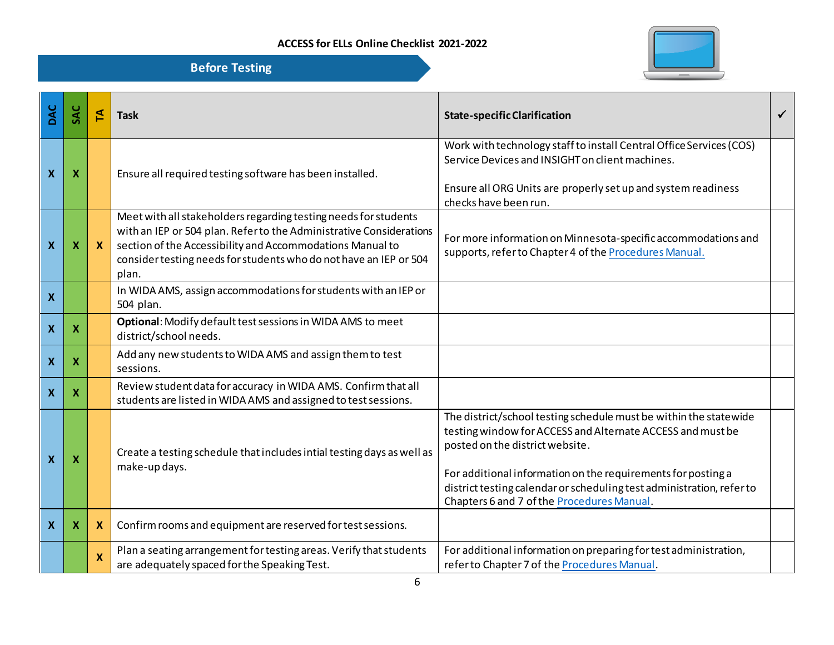

| DAC                       | SAC                       | F            | <b>Task</b>                                                                                                                                                                                                                                                                       | <b>State-specific Clarification</b>                                                                                                                                                                                                                                                                                                                       | ✓ |
|---------------------------|---------------------------|--------------|-----------------------------------------------------------------------------------------------------------------------------------------------------------------------------------------------------------------------------------------------------------------------------------|-----------------------------------------------------------------------------------------------------------------------------------------------------------------------------------------------------------------------------------------------------------------------------------------------------------------------------------------------------------|---|
| $\boldsymbol{X}$          | X                         |              | Ensure all required testing software has been installed.                                                                                                                                                                                                                          | Work with technology staff to install Central Office Services (COS)<br>Service Devices and INSIGHT on client machines.<br>Ensure all ORG Units are properly set up and system readiness<br>checks have been run.                                                                                                                                          |   |
| $\boldsymbol{\mathsf{X}}$ | X                         | $\mathbf{x}$ | Meet with all stakeholders regarding testing needs for students<br>with an IEP or 504 plan. Refer to the Administrative Considerations<br>section of the Accessibility and Accommodations Manual to<br>consider testing needs for students who do not have an IEP or 504<br>plan. | For more information on Minnesota-specific accommodations and<br>supports, refer to Chapter 4 of the Procedures Manual.                                                                                                                                                                                                                                   |   |
| $\boldsymbol{\mathsf{X}}$ |                           |              | In WIDA AMS, assign accommodations for students with an IEP or<br>504 plan.                                                                                                                                                                                                       |                                                                                                                                                                                                                                                                                                                                                           |   |
| $\boldsymbol{\mathsf{X}}$ | X                         |              | Optional: Modify default test sessions in WIDA AMS to meet<br>district/school needs.                                                                                                                                                                                              |                                                                                                                                                                                                                                                                                                                                                           |   |
| $\boldsymbol{\mathsf{X}}$ | Х                         |              | Add any new students to WIDA AMS and assign them to test<br>sessions.                                                                                                                                                                                                             |                                                                                                                                                                                                                                                                                                                                                           |   |
| $\boldsymbol{\mathsf{x}}$ | $\boldsymbol{\mathsf{x}}$ |              | Review student data for accuracy in WIDA AMS. Confirm that all<br>students are listed in WIDA AMS and assigned to test sessions.                                                                                                                                                  |                                                                                                                                                                                                                                                                                                                                                           |   |
| $\boldsymbol{\mathsf{X}}$ | х                         |              | Create a testing schedule that includes intial testing days as well as<br>make-up days.                                                                                                                                                                                           | The district/school testing schedule must be within the statewide<br>testing window for ACCESS and Alternate ACCESS and must be<br>posted on the district website.<br>For additional information on the requirements for posting a<br>district testing calendar or scheduling test administration, refer to<br>Chapters 6 and 7 of the Procedures Manual. |   |
| $\boldsymbol{\mathsf{X}}$ | $\boldsymbol{\mathsf{x}}$ | X            | Confirm rooms and equipment are reserved for test sessions.                                                                                                                                                                                                                       |                                                                                                                                                                                                                                                                                                                                                           |   |
|                           |                           | $\mathbf{x}$ | Plan a seating arrangement for testing areas. Verify that students<br>are adequately spaced for the Speaking Test.                                                                                                                                                                | For additional information on preparing for test administration,<br>refer to Chapter 7 of the Procedures Manual.                                                                                                                                                                                                                                          |   |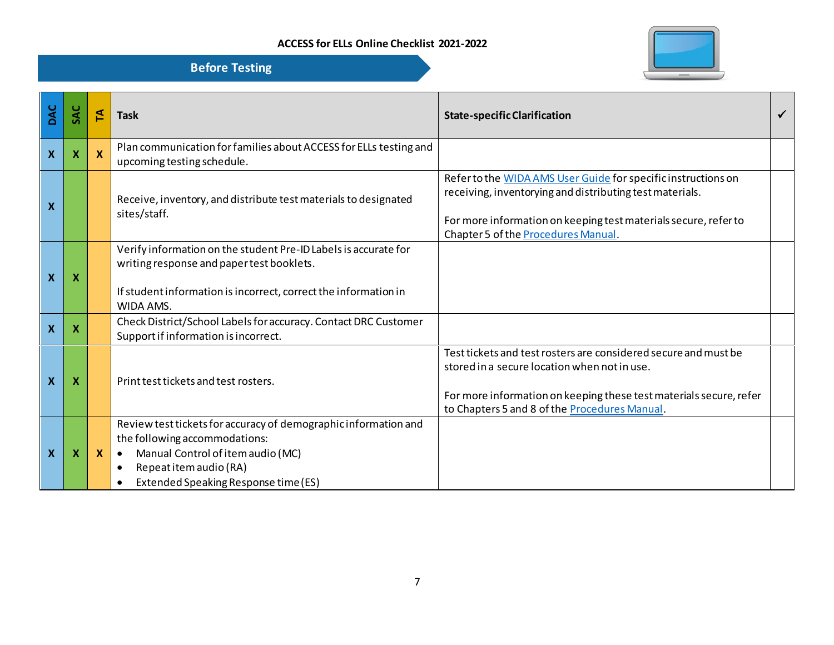

| DAC                       | SAC                       | 집            | <b>Task</b>                                                                                                                                                                                                                       | <b>State-specific Clarification</b>                                                                                                                                                                                                         |  |
|---------------------------|---------------------------|--------------|-----------------------------------------------------------------------------------------------------------------------------------------------------------------------------------------------------------------------------------|---------------------------------------------------------------------------------------------------------------------------------------------------------------------------------------------------------------------------------------------|--|
| $\mathbf x$               | $\boldsymbol{\mathsf{X}}$ |              | Plan communication for families about ACCESS for ELLs testing and<br>upcoming testing schedule.                                                                                                                                   |                                                                                                                                                                                                                                             |  |
| $\boldsymbol{X}$          |                           |              | Receive, inventory, and distribute test materials to designated<br>sites/staff.                                                                                                                                                   | Refer to the WIDA AMS User Guide for specific instructions on<br>receiving, inventorying and distributing test materials.<br>For more information on keeping test materials secure, refer to<br>Chapter 5 of the <b>Procedures Manual</b> . |  |
| $\boldsymbol{\mathsf{X}}$ | X                         |              | Verify information on the student Pre-ID Labels is accurate for<br>writing response and paper test booklets.<br>If student information is incorrect, correct the information in<br>WIDA AMS.                                      |                                                                                                                                                                                                                                             |  |
| $\boldsymbol{\mathsf{X}}$ | X                         |              | Check District/School Labels for accuracy. Contact DRC Customer<br>Support if information is incorrect.                                                                                                                           |                                                                                                                                                                                                                                             |  |
| $\boldsymbol{X}$          | $\boldsymbol{\mathsf{x}}$ |              | Print test tickets and test rosters.                                                                                                                                                                                              | Test tickets and test rosters are considered secure and must be<br>stored in a secure location when not in use.<br>For more information on keeping these test materials secure, refer<br>to Chapters 5 and 8 of the Procedures Manual.      |  |
| $\boldsymbol{\mathsf{x}}$ | X                         | $\mathbf{x}$ | Review test tickets for accuracy of demographic information and<br>the following accommodations:<br>Manual Control of item audio (MC)<br>$\bullet$<br>Repeat item audio (RA)<br>$\bullet$<br>Extended Speaking Response time (ES) |                                                                                                                                                                                                                                             |  |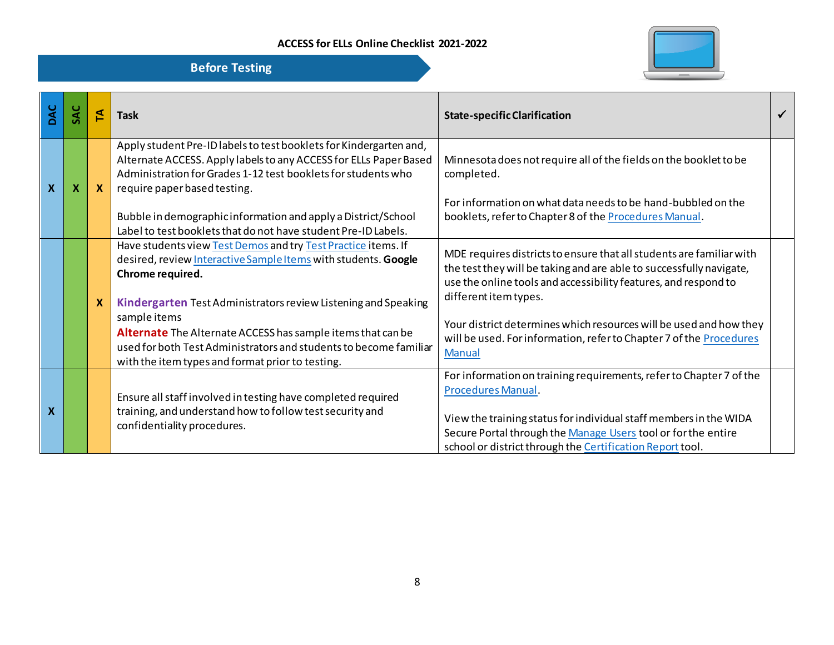

| DAC                       |   | ₹           | <b>Task</b>                                                                                                                                                                                                                                                                                                                                                                                                                   | <b>State-specific Clarification</b>                                                                                                                                                                                                                                                                                                                                                                   |  |
|---------------------------|---|-------------|-------------------------------------------------------------------------------------------------------------------------------------------------------------------------------------------------------------------------------------------------------------------------------------------------------------------------------------------------------------------------------------------------------------------------------|-------------------------------------------------------------------------------------------------------------------------------------------------------------------------------------------------------------------------------------------------------------------------------------------------------------------------------------------------------------------------------------------------------|--|
| $\boldsymbol{\mathsf{X}}$ | X | X           | Apply student Pre-ID labels to test booklets for Kindergarten and,<br>Alternate ACCESS. Apply labels to any ACCESS for ELLs Paper Based<br>Administration for Grades 1-12 test booklets for students who<br>require paper based testing.<br>Bubble in demographic information and apply a District/School<br>Label to test booklets that do not have student Pre-ID Labels.                                                   | Minnesota does not require all of the fields on the booklet to be<br>completed.<br>For information on what data needs to be hand-bubbled on the<br>booklets, refer to Chapter 8 of the Procedures Manual.                                                                                                                                                                                             |  |
|                           |   | $\mathbf x$ | Have students view Test Demos and try Test Practice items. If<br>desired, review Interactive Sample Items with students. Google<br>Chrome required.<br>Kindergarten Test Administrators review Listening and Speaking<br>sample items<br>Alternate The Alternate ACCESS has sample items that can be<br>used for both Test Administrators and students to become familiar<br>with the item types and format prior to testing. | MDE requires districts to ensure that all students are familiar with<br>the test they will be taking and are able to successfully navigate,<br>use the online tools and accessibility features, and respond to<br>different item types.<br>Your district determines which resources will be used and how they<br>will be used. For information, refer to Chapter 7 of the Procedures<br><b>Manual</b> |  |
| X                         |   |             | Ensure all staff involved in testing have completed required<br>training, and understand how to follow test security and<br>confidentiality procedures.                                                                                                                                                                                                                                                                       | For information on training requirements, refer to Chapter 7 of the<br>Procedures Manual.<br>View the training status for individual staff members in the WIDA<br>Secure Portal through the Manage Users tool or for the entire<br>school or district through the Certification Report tool.                                                                                                          |  |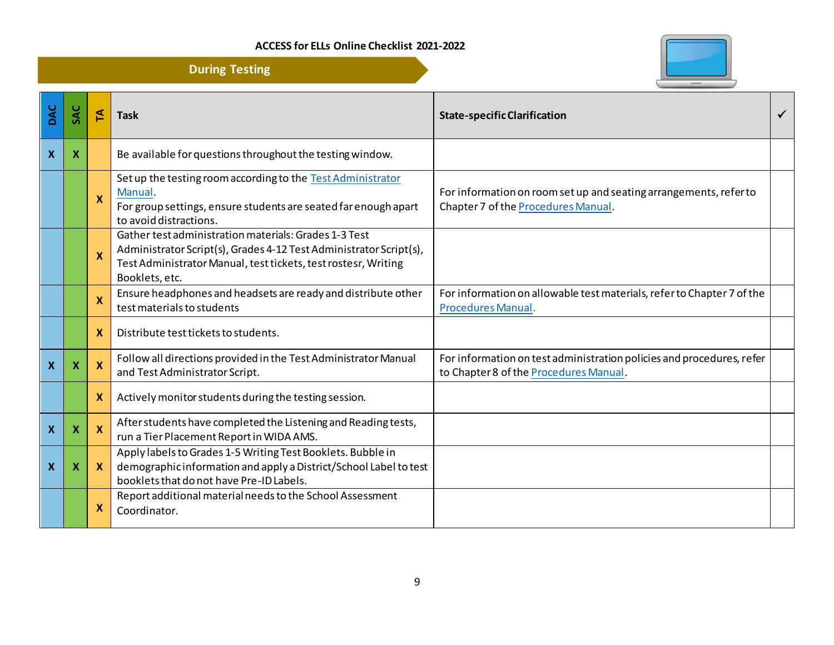

|                           | <b>During Testing</b>     |              |                                                                                                                                                                                                                 |                                                                                                                 |   |
|---------------------------|---------------------------|--------------|-----------------------------------------------------------------------------------------------------------------------------------------------------------------------------------------------------------------|-----------------------------------------------------------------------------------------------------------------|---|
| DAC                       | SAC                       | 진            | <b>Task</b>                                                                                                                                                                                                     | <b>State-specific Clarification</b>                                                                             | ✓ |
| $\boldsymbol{\mathsf{X}}$ | X                         |              | Be available for questions throughout the testing window.                                                                                                                                                       |                                                                                                                 |   |
|                           |                           | $\mathbf{x}$ | Set up the testing room according to the Test Administrator<br>Manual.<br>For group settings, ensure students are seated far enough apart<br>to avoid distractions.                                             | For information on room set up and seating arrangements, refer to<br>Chapter 7 of the Procedures Manual.        |   |
|                           |                           | X            | Gather test administration materials: Grades 1-3 Test<br>Administrator Script(s), Grades 4-12 Test Administrator Script(s),<br>Test Administrator Manual, test tickets, test rostesr, Writing<br>Booklets, etc. |                                                                                                                 |   |
|                           |                           | X            | Ensure headphones and headsets are ready and distribute other<br>test materials to students                                                                                                                     | For information on allowable test materials, refer to Chapter 7 of the<br><b>Procedures Manual.</b>             |   |
|                           |                           | $\mathbf{x}$ | Distribute test tickets to students.                                                                                                                                                                            |                                                                                                                 |   |
| $\boldsymbol{\mathsf{X}}$ | X                         | X            | Follow all directions provided in the Test Administrator Manual<br>and Test Administrator Script.                                                                                                               | For information on test administration policies and procedures, refer<br>to Chapter 8 of the Procedures Manual. |   |
|                           |                           | X            | Actively monitor students during the testing session.                                                                                                                                                           |                                                                                                                 |   |
| $\boldsymbol{\mathsf{X}}$ | $\boldsymbol{\mathsf{x}}$ | <b>X</b>     | After students have completed the Listening and Reading tests,<br>run a Tier Placement Report in WIDA AMS.                                                                                                      |                                                                                                                 |   |
| $\boldsymbol{\mathsf{x}}$ | $\boldsymbol{\mathsf{X}}$ | $\mathbf{X}$ | Apply labels to Grades 1-5 Writing Test Booklets. Bubble in<br>demographic information and apply a District/School Label to test<br>booklets that do not have Pre-ID Labels.                                    |                                                                                                                 |   |
|                           |                           | X            | Report additional material needs to the School Assessment<br>Coordinator.                                                                                                                                       |                                                                                                                 |   |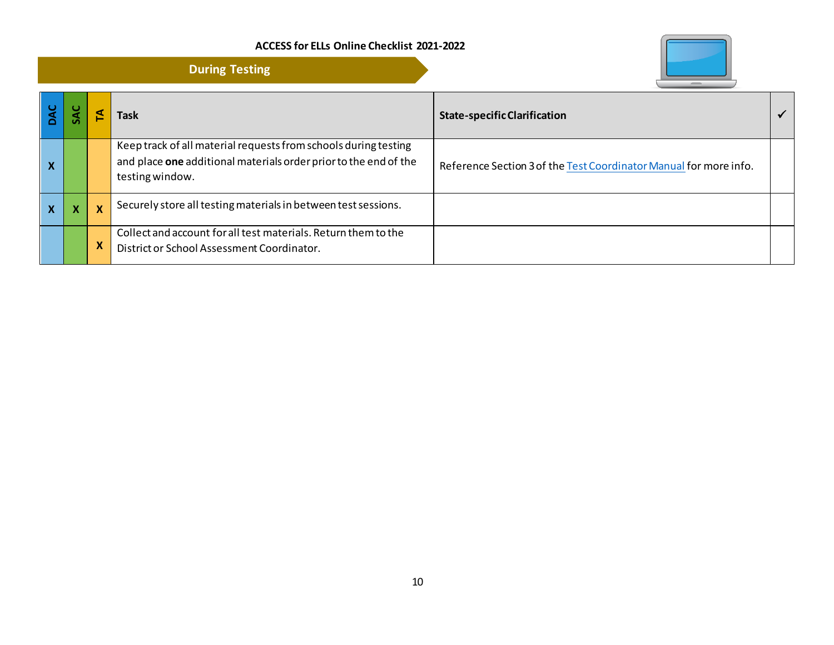

|                           | <b>During Testing</b> |                           |                                                                                                                                                        |                                                                   |  |
|---------------------------|-----------------------|---------------------------|--------------------------------------------------------------------------------------------------------------------------------------------------------|-------------------------------------------------------------------|--|
|                           |                       |                           | Task                                                                                                                                                   | <b>State-specific Clarification</b>                               |  |
| $\boldsymbol{\mathsf{x}}$ |                       |                           | Keep track of all material requests from schools during testing<br>and place one additional materials order prior to the end of the<br>testing window. | Reference Section 3 of the Test Coordinator Manual for more info. |  |
| X                         |                       | $\boldsymbol{\mathsf{x}}$ | Securely store all testing materials in between test sessions.                                                                                         |                                                                   |  |
|                           |                       | $\boldsymbol{\mathsf{x}}$ | Collect and account for all test materials. Return them to the<br>District or School Assessment Coordinator.                                           |                                                                   |  |